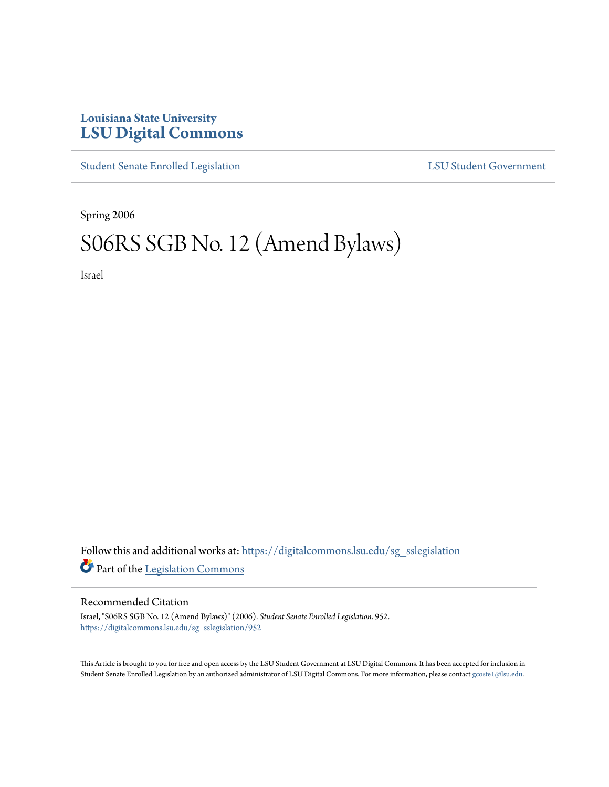## **Louisiana State University [LSU Digital Commons](https://digitalcommons.lsu.edu?utm_source=digitalcommons.lsu.edu%2Fsg_sslegislation%2F952&utm_medium=PDF&utm_campaign=PDFCoverPages)**

[Student Senate Enrolled Legislation](https://digitalcommons.lsu.edu/sg_sslegislation?utm_source=digitalcommons.lsu.edu%2Fsg_sslegislation%2F952&utm_medium=PDF&utm_campaign=PDFCoverPages) [LSU Student Government](https://digitalcommons.lsu.edu/sg?utm_source=digitalcommons.lsu.edu%2Fsg_sslegislation%2F952&utm_medium=PDF&utm_campaign=PDFCoverPages)

Spring 2006

## S06RS SGB No. 12 (Amend Bylaws)

Israel

Follow this and additional works at: [https://digitalcommons.lsu.edu/sg\\_sslegislation](https://digitalcommons.lsu.edu/sg_sslegislation?utm_source=digitalcommons.lsu.edu%2Fsg_sslegislation%2F952&utm_medium=PDF&utm_campaign=PDFCoverPages) Part of the [Legislation Commons](http://network.bepress.com/hgg/discipline/859?utm_source=digitalcommons.lsu.edu%2Fsg_sslegislation%2F952&utm_medium=PDF&utm_campaign=PDFCoverPages)

## Recommended Citation

Israel, "S06RS SGB No. 12 (Amend Bylaws)" (2006). *Student Senate Enrolled Legislation*. 952. [https://digitalcommons.lsu.edu/sg\\_sslegislation/952](https://digitalcommons.lsu.edu/sg_sslegislation/952?utm_source=digitalcommons.lsu.edu%2Fsg_sslegislation%2F952&utm_medium=PDF&utm_campaign=PDFCoverPages)

This Article is brought to you for free and open access by the LSU Student Government at LSU Digital Commons. It has been accepted for inclusion in Student Senate Enrolled Legislation by an authorized administrator of LSU Digital Commons. For more information, please contact [gcoste1@lsu.edu.](mailto:gcoste1@lsu.edu)